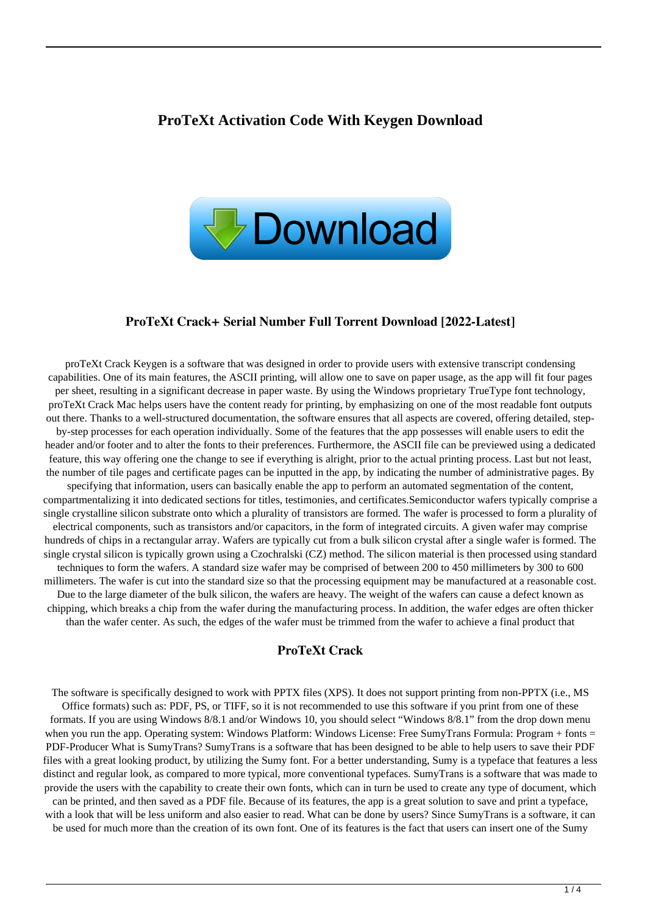### **ProTeXt Activation Code With Keygen Download**



#### **ProTeXt Crack+ Serial Number Full Torrent Download [2022-Latest]**

proTeXt Crack Keygen is a software that was designed in order to provide users with extensive transcript condensing capabilities. One of its main features, the ASCII printing, will allow one to save on paper usage, as the app will fit four pages per sheet, resulting in a significant decrease in paper waste. By using the Windows proprietary TrueType font technology, proTeXt Crack Mac helps users have the content ready for printing, by emphasizing on one of the most readable font outputs out there. Thanks to a well-structured documentation, the software ensures that all aspects are covered, offering detailed, stepby-step processes for each operation individually. Some of the features that the app possesses will enable users to edit the header and/or footer and to alter the fonts to their preferences. Furthermore, the ASCII file can be previewed using a dedicated feature, this way offering one the change to see if everything is alright, prior to the actual printing process. Last but not least, the number of tile pages and certificate pages can be inputted in the app, by indicating the number of administrative pages. By specifying that information, users can basically enable the app to perform an automated segmentation of the content, compartmentalizing it into dedicated sections for titles, testimonies, and certificates.Semiconductor wafers typically comprise a single crystalline silicon substrate onto which a plurality of transistors are formed. The wafer is processed to form a plurality of electrical components, such as transistors and/or capacitors, in the form of integrated circuits. A given wafer may comprise hundreds of chips in a rectangular array. Wafers are typically cut from a bulk silicon crystal after a single wafer is formed. The single crystal silicon is typically grown using a Czochralski (CZ) method. The silicon material is then processed using standard techniques to form the wafers. A standard size wafer may be comprised of between 200 to 450 millimeters by 300 to 600 millimeters. The wafer is cut into the standard size so that the processing equipment may be manufactured at a reasonable cost. Due to the large diameter of the bulk silicon, the wafers are heavy. The weight of the wafers can cause a defect known as chipping, which breaks a chip from the wafer during the manufacturing process. In addition, the wafer edges are often thicker than the wafer center. As such, the edges of the wafer must be trimmed from the wafer to achieve a final product that

### **ProTeXt Crack**

The software is specifically designed to work with PPTX files (XPS). It does not support printing from non-PPTX (i.e., MS Office formats) such as: PDF, PS, or TIFF, so it is not recommended to use this software if you print from one of these formats. If you are using Windows 8/8.1 and/or Windows 10, you should select "Windows 8/8.1" from the drop down menu when you run the app. Operating system: Windows Platform: Windows License: Free SumyTrans Formula: Program + fonts = PDF-Producer What is SumyTrans? SumyTrans is a software that has been designed to be able to help users to save their PDF files with a great looking product, by utilizing the Sumy font. For a better understanding, Sumy is a typeface that features a less distinct and regular look, as compared to more typical, more conventional typefaces. SumyTrans is a software that was made to provide the users with the capability to create their own fonts, which can in turn be used to create any type of document, which can be printed, and then saved as a PDF file. Because of its features, the app is a great solution to save and print a typeface, with a look that will be less uniform and also easier to read. What can be done by users? Since SumyTrans is a software, it can

be used for much more than the creation of its own font. One of its features is the fact that users can insert one of the Sumy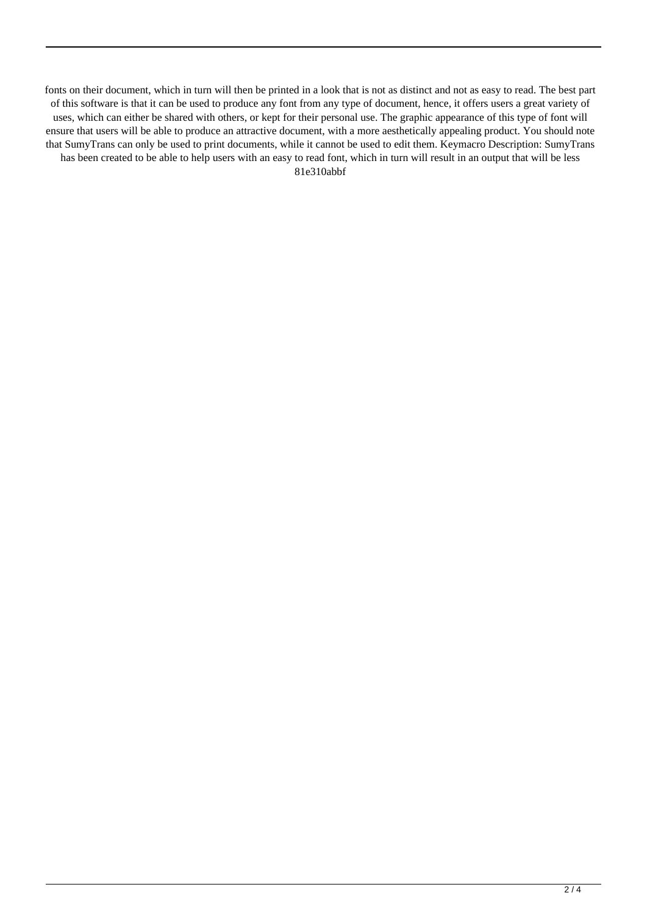fonts on their document, which in turn will then be printed in a look that is not as distinct and not as easy to read. The best part of this software is that it can be used to produce any font from any type of document, hence, it offers users a great variety of uses, which can either be shared with others, or kept for their personal use. The graphic appearance of this type of font will ensure that users will be able to produce an attractive document, with a more aesthetically appealing product. You should note that SumyTrans can only be used to print documents, while it cannot be used to edit them. Keymacro Description: SumyTrans has been created to be able to help users with an easy to read font, which in turn will result in an output that will be less 81e310abbf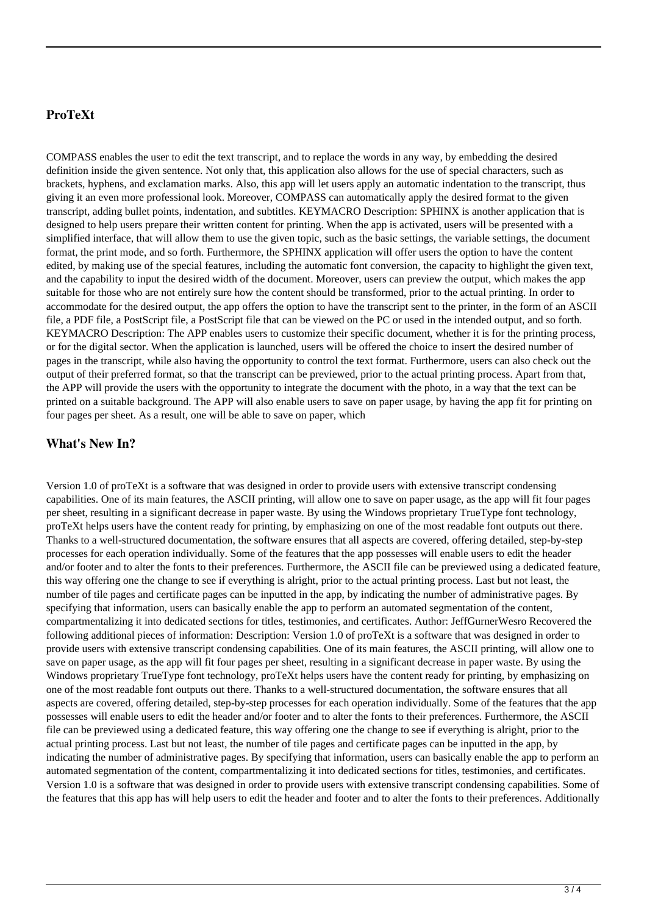## **ProTeXt**

COMPASS enables the user to edit the text transcript, and to replace the words in any way, by embedding the desired definition inside the given sentence. Not only that, this application also allows for the use of special characters, such as brackets, hyphens, and exclamation marks. Also, this app will let users apply an automatic indentation to the transcript, thus giving it an even more professional look. Moreover, COMPASS can automatically apply the desired format to the given transcript, adding bullet points, indentation, and subtitles. KEYMACRO Description: SPHINX is another application that is designed to help users prepare their written content for printing. When the app is activated, users will be presented with a simplified interface, that will allow them to use the given topic, such as the basic settings, the variable settings, the document format, the print mode, and so forth. Furthermore, the SPHINX application will offer users the option to have the content edited, by making use of the special features, including the automatic font conversion, the capacity to highlight the given text, and the capability to input the desired width of the document. Moreover, users can preview the output, which makes the app suitable for those who are not entirely sure how the content should be transformed, prior to the actual printing. In order to accommodate for the desired output, the app offers the option to have the transcript sent to the printer, in the form of an ASCII file, a PDF file, a PostScript file, a PostScript file that can be viewed on the PC or used in the intended output, and so forth. KEYMACRO Description: The APP enables users to customize their specific document, whether it is for the printing process, or for the digital sector. When the application is launched, users will be offered the choice to insert the desired number of pages in the transcript, while also having the opportunity to control the text format. Furthermore, users can also check out the output of their preferred format, so that the transcript can be previewed, prior to the actual printing process. Apart from that, the APP will provide the users with the opportunity to integrate the document with the photo, in a way that the text can be printed on a suitable background. The APP will also enable users to save on paper usage, by having the app fit for printing on four pages per sheet. As a result, one will be able to save on paper, which

#### **What's New In?**

Version 1.0 of proTeXt is a software that was designed in order to provide users with extensive transcript condensing capabilities. One of its main features, the ASCII printing, will allow one to save on paper usage, as the app will fit four pages per sheet, resulting in a significant decrease in paper waste. By using the Windows proprietary TrueType font technology, proTeXt helps users have the content ready for printing, by emphasizing on one of the most readable font outputs out there. Thanks to a well-structured documentation, the software ensures that all aspects are covered, offering detailed, step-by-step processes for each operation individually. Some of the features that the app possesses will enable users to edit the header and/or footer and to alter the fonts to their preferences. Furthermore, the ASCII file can be previewed using a dedicated feature, this way offering one the change to see if everything is alright, prior to the actual printing process. Last but not least, the number of tile pages and certificate pages can be inputted in the app, by indicating the number of administrative pages. By specifying that information, users can basically enable the app to perform an automated segmentation of the content, compartmentalizing it into dedicated sections for titles, testimonies, and certificates. Author: JeffGurnerWesro Recovered the following additional pieces of information: Description: Version 1.0 of proTeXt is a software that was designed in order to provide users with extensive transcript condensing capabilities. One of its main features, the ASCII printing, will allow one to save on paper usage, as the app will fit four pages per sheet, resulting in a significant decrease in paper waste. By using the Windows proprietary TrueType font technology, proTeXt helps users have the content ready for printing, by emphasizing on one of the most readable font outputs out there. Thanks to a well-structured documentation, the software ensures that all aspects are covered, offering detailed, step-by-step processes for each operation individually. Some of the features that the app possesses will enable users to edit the header and/or footer and to alter the fonts to their preferences. Furthermore, the ASCII file can be previewed using a dedicated feature, this way offering one the change to see if everything is alright, prior to the actual printing process. Last but not least, the number of tile pages and certificate pages can be inputted in the app, by indicating the number of administrative pages. By specifying that information, users can basically enable the app to perform an automated segmentation of the content, compartmentalizing it into dedicated sections for titles, testimonies, and certificates. Version 1.0 is a software that was designed in order to provide users with extensive transcript condensing capabilities. Some of the features that this app has will help users to edit the header and footer and to alter the fonts to their preferences. Additionally